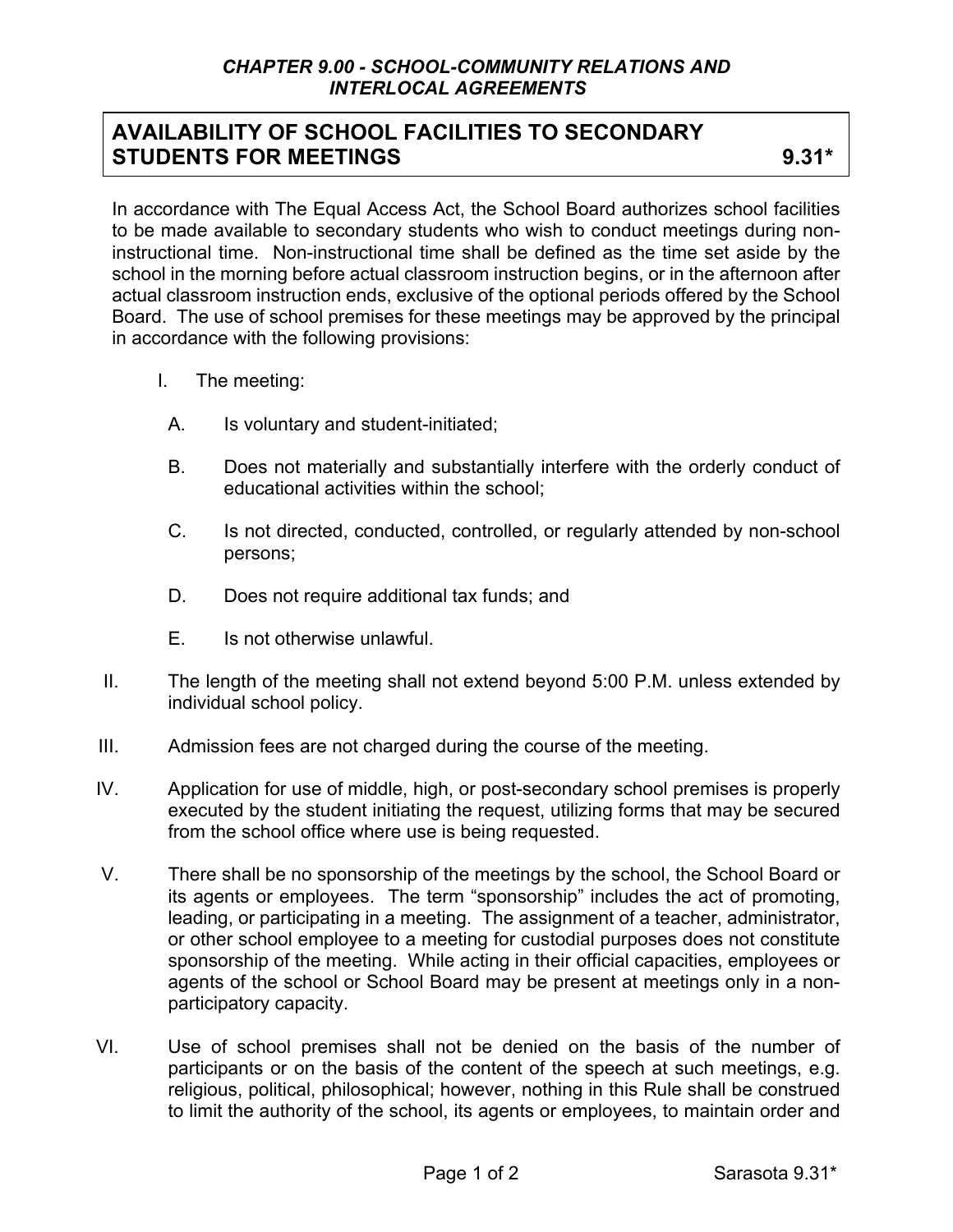## **AVAILABILITY OF SCHOOL FACILITIES TO SECONDARY STUDENTS FOR MEETINGS** 9.31\*

In accordance with The Equal Access Act, the School Board authorizes school facilities to be made available to secondary students who wish to conduct meetings during noninstructional time. Non-instructional time shall be defined as the time set aside by the school in the morning before actual classroom instruction begins, or in the afternoon after actual classroom instruction ends, exclusive of the optional periods offered by the School Board. The use of school premises for these meetings may be approved by the principal in accordance with the following provisions:

- I. The meeting:
	- A. Is voluntary and student-initiated;
	- B. Does not materially and substantially interfere with the orderly conduct of educational activities within the school;
	- C. Is not directed, conducted, controlled, or regularly attended by non-school persons;
	- D. Does not require additional tax funds; and
	- E. Is not otherwise unlawful.
- II. The length of the meeting shall not extend beyond 5:00 P.M. unless extended by individual school policy.
- III. Admission fees are not charged during the course of the meeting.
- IV. Application for use of middle, high, or post-secondary school premises is properly executed by the student initiating the request, utilizing forms that may be secured from the school office where use is being requested.
- V. There shall be no sponsorship of the meetings by the school, the School Board or its agents or employees. The term "sponsorship" includes the act of promoting, leading, or participating in a meeting. The assignment of a teacher, administrator, or other school employee to a meeting for custodial purposes does not constitute sponsorship of the meeting. While acting in their official capacities, employees or agents of the school or School Board may be present at meetings only in a nonparticipatory capacity.
- VI. Use of school premises shall not be denied on the basis of the number of participants or on the basis of the content of the speech at such meetings, e.g. religious, political, philosophical; however, nothing in this Rule shall be construed to limit the authority of the school, its agents or employees, to maintain order and